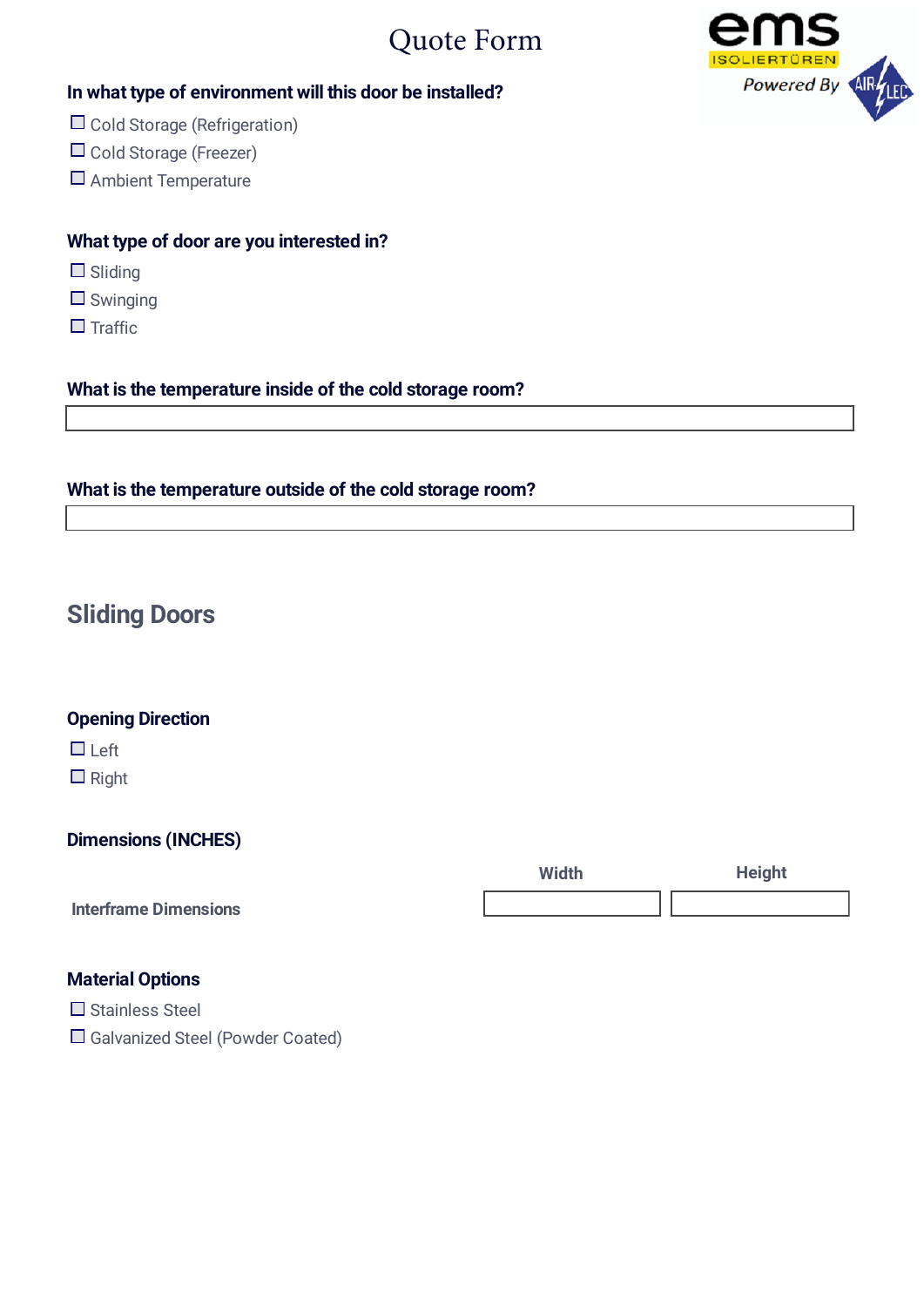# Quote Form



#### **In what type of environment will this door be installed?**

- $\Box$  Cold Storage (Refrigeration)
- □ Cold Storage (Freezer)
- Ambient Temperature

#### **What type of door are you interested in?**

- □ Sliding
- $\Box$  Swinging
- $\Box$  Traffic

#### **What is the temperature inside of the cold storage room?**

#### **What is the temperature outside of the cold storage room?**

# **Sliding Doors**

#### **Opening Direction**

□ Left

 $\Box$  Right

#### **Dimensions (INCHES)**

|                              | <b>Width</b> | <b>Height</b> |
|------------------------------|--------------|---------------|
| <b>Interframe Dimensions</b> |              |               |

#### **Material Options**

 $\Box$  Stainless Steel

□ Galvanized Steel (Powder Coated)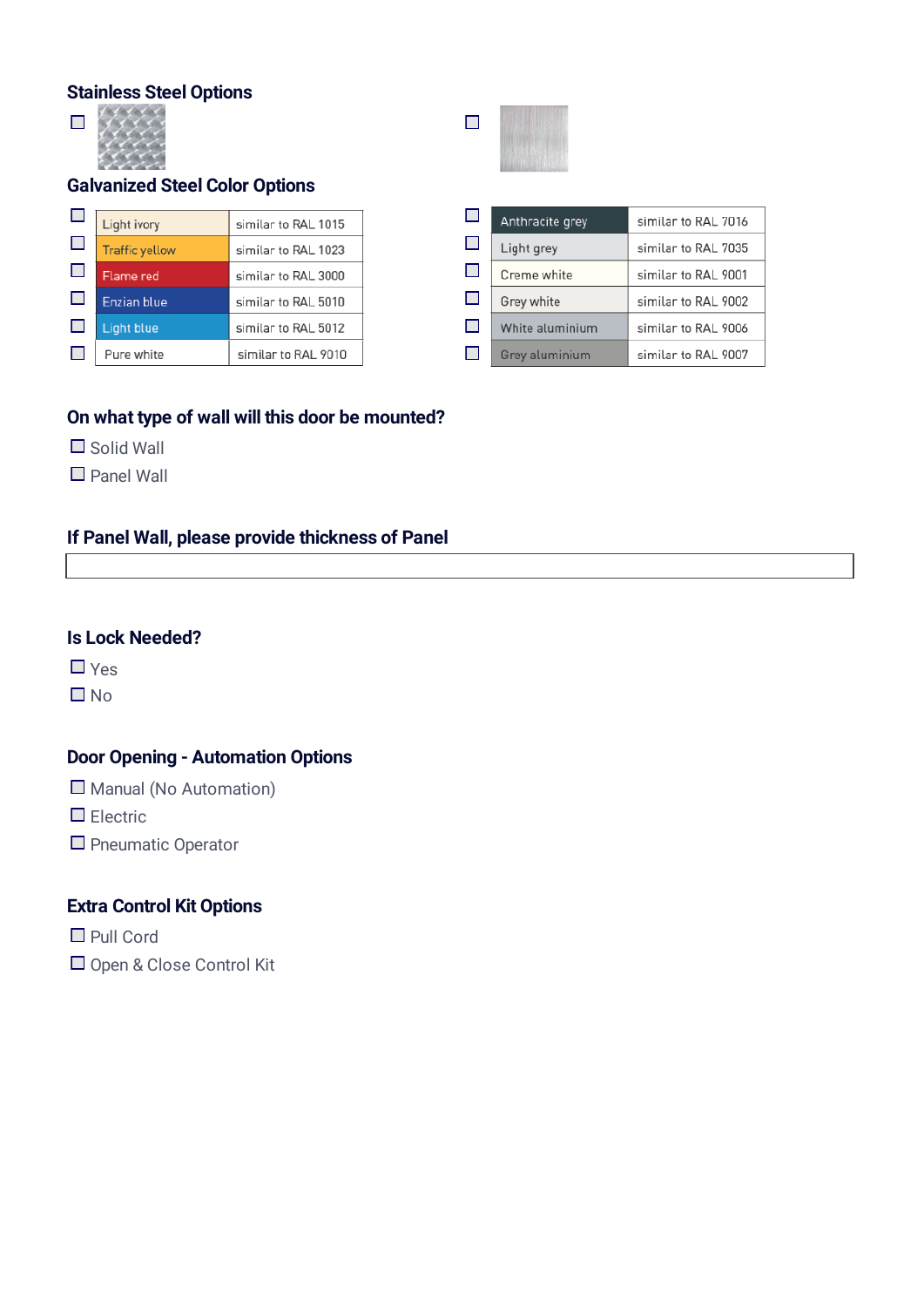#### **Stainless Steel Options**



#### **Galvanized Steel Color Options**

|        | Light ivory           | similar to RAL 1015 |
|--------|-----------------------|---------------------|
| $\Box$ | <b>Traffic yellow</b> | similar to RAL 1023 |
| $\Box$ | Flame red             | similar to RAL 3000 |
| Ш      | <b>Enzian blue</b>    | similar to RAL 5010 |
| ப      | <b>Light blue</b>     | similar to RAL 5012 |
|        | Pure white            | similar to RAL 9010 |

#### **On what type of wall will this door be mounted?**

- $\Box$  Solid Wall
- Panel Wall

## **If Panel Wall, please provide thickness of Panel**

#### **Is Lock Needed?**

 $\Box$  Yes

 $\square$  No

# **Door Opening - Automation Options**

 $\Box$  Manual (No Automation)

 $\Box$  Electric

 $\Box$  Pneumatic Operator

#### **Extra Control Kit Options**

■ Pull Cord

Open & Close Control Kit



| Ш   | Anthracite grey | similar to RAL 7016 |
|-----|-----------------|---------------------|
| H   | Light grey      | similar to RAL 7035 |
| ш   | Creme white     | similar to RAL 9001 |
| H   | Grey white      | similar to RAL 9002 |
| П   | White aluminium | similar to RAL 9006 |
| . . | Grey aluminium  | similar to RAL 9007 |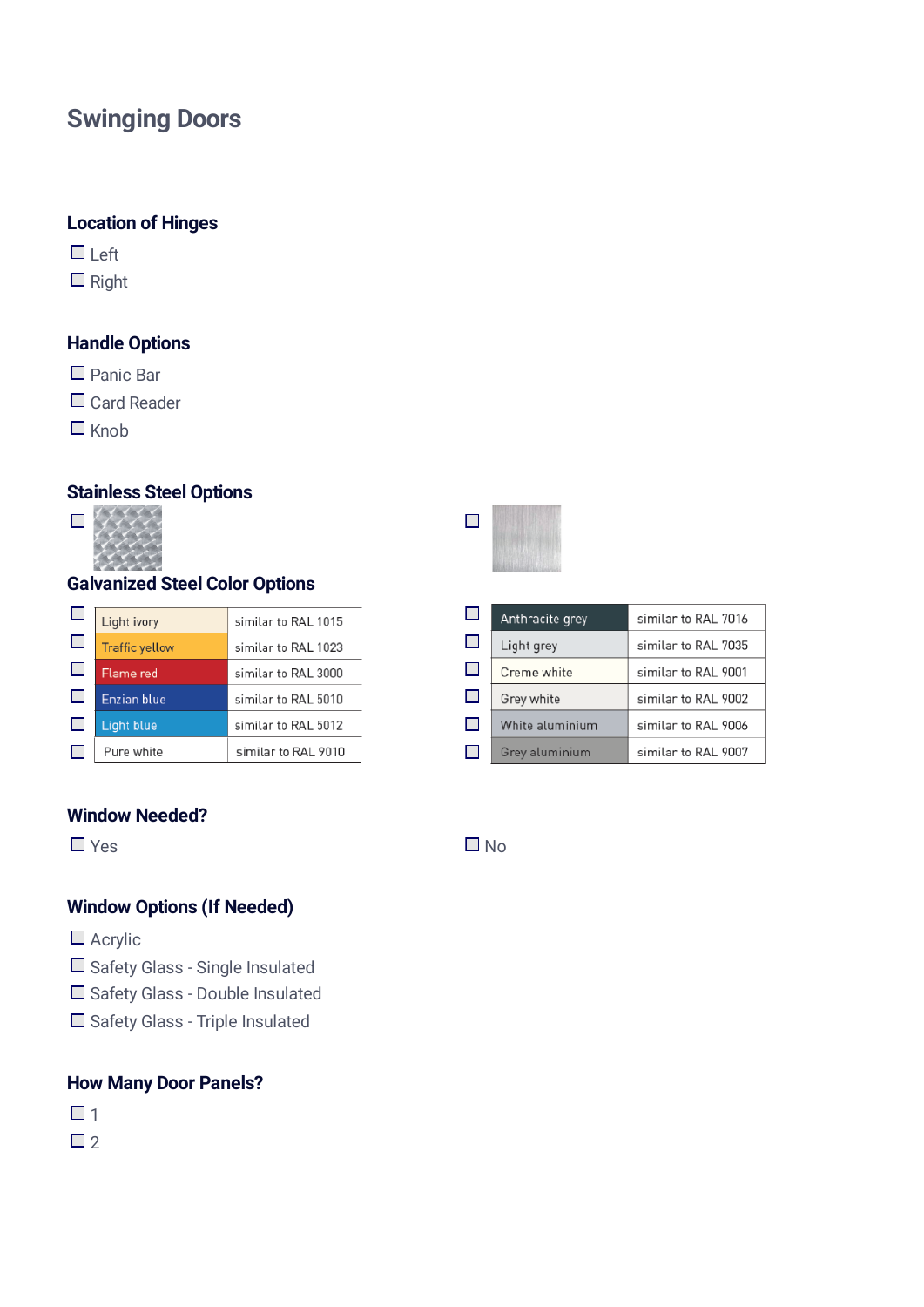# **Swinging Doors**

#### **Location of Hinges**

- $\Box$  Left
- $\Box$  Right

#### **Handle Options**

- Panic Bar
- □ Card Reader
- $\Box$  Knob

## **Stainless Steel Options**



# **Galvanized Steel Color Options**

|        | Light ivory           | similar to RAL 1015 |
|--------|-----------------------|---------------------|
| $\Box$ | <b>Traffic yellow</b> | similar to RAL 1023 |
| $\Box$ | Flame red             | similar to RAL 3000 |
| $\Box$ | <b>Enzian blue</b>    | similar to RAL 5010 |
| $\Box$ | <b>Light blue</b>     | similar to RAL 5012 |
|        | Pure white            | similar to RAL 9010 |

#### **Window Needed?**

## **Window Options (If Needed)**

- Acrylic
- Safety Glass Single Insulated
- □ Safety Glass Double Insulated
- Safety Glass Triple Insulated

#### **How Many Door Panels?**

- $\Box$  1
- $\Box$  2



| $\Box$ | Anthracite grey | similar to RAL 7016 |
|--------|-----------------|---------------------|
| П      | Light grey      | similar to RAL 7035 |
| $\Box$ | Creme white     | similar to RAL 9001 |
| П      | Grey white      | similar to RAL 9002 |
| П      | White aluminium | similar to RAL 9006 |
| H      | Grey aluminium  | similar to RAL 9007 |

 $Yes$   $\negthinspace \Box$  No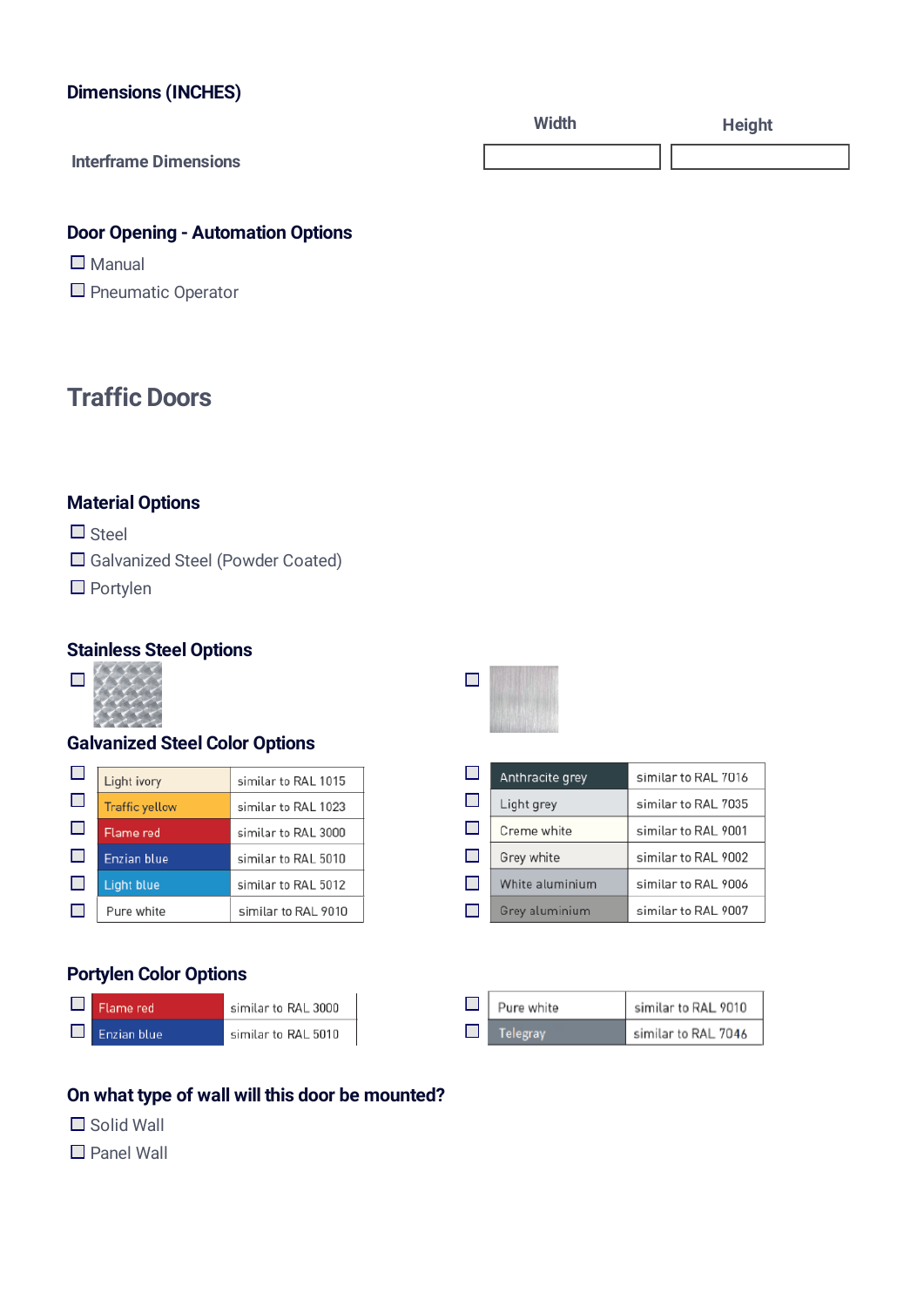#### **Dimensions (INCHES)**

|                              | Width | <b>Height</b> |
|------------------------------|-------|---------------|
| <b>Interframe Dimensions</b> |       |               |

#### **Door Opening - Automation Options**

- $\square$  Manual
- **P** Pneumatic Operator

# **Traffic Doors**

## **Material Options**

- $\Box$  Steel
- Galvanized Steel (Powder Coated)
- Portylen

#### **Stainless Steel Options**



#### **Galvanized Steel Color Options**

|        | Light ivory           | similar to RAL 1015 |
|--------|-----------------------|---------------------|
| $\Box$ | <b>Traffic yellow</b> | similar to RAL 1023 |
| Ш      | Flame red             | similar to RAL 3000 |
| ப      | <b>Enzian blue</b>    | similar to RAL 5010 |
| ப      | <b>Light blue</b>     | similar to RAL 5012 |
|        | Pure white            | similar to RAL 9010 |

#### **Portylen Color Options**

| Flame red   | similar to RAL 3000 |
|-------------|---------------------|
| Enzian blue | similar to RAL 5010 |

# $\Box$

| $\Box$     | Anthracite grey | similar to RAL 7016 |
|------------|-----------------|---------------------|
| Ш          | Light grey      | similar to RAL 7035 |
| $\Box$     | Creme white     | similar to RAL 9001 |
| $\Box$     | Grey white      | similar to RAL 9002 |
| <b>COL</b> | White aluminium | similar to RAL 9006 |
| П          | Grey aluminium  | similar to RAL 9007 |

| $\Box$ | Pure white | similar to RAL 9010 |
|--------|------------|---------------------|
|        | Telegray   | similar to RAL 7046 |

## **On what type of wall will this door be mounted?**

- $\Box$  Solid Wall
- Panel Wall